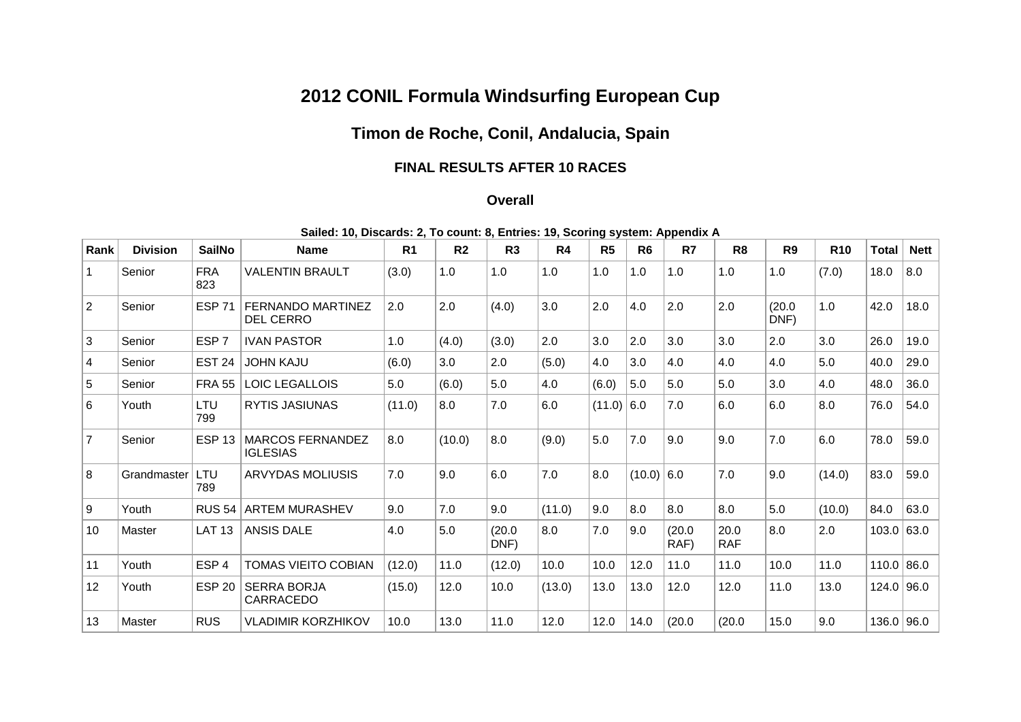## **2012 CONIL Formula Windsurfing European Cup**

## **Timon de Roche, Conil, Andalucia, Spain**

## **FINAL RESULTS AFTER 10 RACES**

## **Overall**

| Sailed: 10, Discards: 2, To count: 8, Entries: 19, Scoring system: Appendix A |
|-------------------------------------------------------------------------------|
|-------------------------------------------------------------------------------|

| Rank | <b>Division</b> | <b>SailNo</b>     | <b>Name</b>                            | R <sub>1</sub> | R <sub>2</sub> | R <sub>3</sub> | R4     | R <sub>5</sub> | R <sub>6</sub> | R7             | R <sub>8</sub>     | R <sub>9</sub> | <b>R10</b> | <b>Total</b> | <b>Nett</b> |
|------|-----------------|-------------------|----------------------------------------|----------------|----------------|----------------|--------|----------------|----------------|----------------|--------------------|----------------|------------|--------------|-------------|
|      | Senior          | <b>FRA</b><br>823 | <b>VALENTIN BRAULT</b>                 | (3.0)          | 1.0            | 1.0            | 1.0    | 1.0            | 1.0            | 1.0            | 1.0                | 1.0            | (7.0)      | 18.0         | 8.0         |
| 2    | Senior          | <b>ESP 71</b>     | FERNANDO MARTINEZ<br><b>DEL CERRO</b>  | 2.0            | 2.0            | (4.0)          | 3.0    | 2.0            | 4.0            | 2.0            | 2.0                | (20.0)<br>DNF) | 1.0        | 42.0         | 18.0        |
| 3    | Senior          | ESP <sub>7</sub>  | <b>IVAN PASTOR</b>                     | 1.0            | (4.0)          | (3.0)          | 2.0    | 3.0            | 2.0            | 3.0            | 3.0                | 2.0            | 3.0        | 26.0         | 19.0        |
| 4    | Senior          | <b>EST 24</b>     | <b>JOHN KAJU</b>                       | (6.0)          | 3.0            | 2.0            | (5.0)  | 4.0            | 3.0            | 4.0            | 4.0                | 4.0            | 5.0        | 40.0         | 29.0        |
| 5    | Senior          | <b>FRA 55</b>     | <b>LOIC LEGALLOIS</b>                  | 5.0            | (6.0)          | 5.0            | 4.0    | (6.0)          | 5.0            | 5.0            | 5.0                | 3.0            | 4.0        | 48.0         | 36.0        |
| 6    | Youth           | LTU<br>799        | <b>RYTIS JASIUNAS</b>                  | (11.0)         | 8.0            | 7.0            | 6.0    | (11.0)         | 6.0            | 7.0            | 6.0                | 6.0            | 8.0        | 76.0         | 54.0        |
| 7    | Senior          | <b>ESP 13</b>     | MARCOS FERNANDEZ<br><b>IGLESIAS</b>    | 8.0            | (10.0)         | 8.0            | (9.0)  | 5.0            | 7.0            | 9.0            | 9.0                | 7.0            | 6.0        | 78.0         | 59.0        |
| 8    | Grandmaster     | LTU<br>789        | <b>ARVYDAS MOLIUSIS</b>                | 7.0            | 9.0            | 6.0            | 7.0    | 8.0            | $(10.0)$ 6.0   |                | 7.0                | 9.0            | (14.0)     | 83.0         | 59.0        |
| 9    | Youth           | <b>RUS 54</b>     | <b>ARTEM MURASHEV</b>                  | 9.0            | 7.0            | 9.0            | (11.0) | 9.0            | 8.0            | 8.0            | 8.0                | 5.0            | (10.0)     | 84.0         | 63.0        |
| 10   | Master          | <b>LAT 13</b>     | <b>ANSIS DALE</b>                      | 4.0            | 5.0            | (20.0)<br>DNF) | 8.0    | 7.0            | 9.0            | (20.0)<br>RAF) | 20.0<br><b>RAF</b> | 8.0            | 2.0        | 103.0        | 63.0        |
| 11   | Youth           | ESP <sub>4</sub>  | <b>TOMAS VIEITO COBIAN</b>             | (12.0)         | 11.0           | (12.0)         | 10.0   | 10.0           | 12.0           | 11.0           | 11.0               | 10.0           | 11.0       | 110.0        | 86.0        |
| 12   | Youth           | <b>ESP 20</b>     | <b>SERRA BORJA</b><br><b>CARRACEDO</b> | (15.0)         | 12.0           | 10.0           | (13.0) | 13.0           | 13.0           | 12.0           | 12.0               | 11.0           | 13.0       | 124.0        | 96.0        |
| 13   | Master          | <b>RUS</b>        | <b>VLADIMIR KORZHIKOV</b>              | 10.0           | 13.0           | 11.0           | 12.0   | 12.0           | 14.0           | (20.0)         | (20.0)             | 15.0           | 9.0        | 136.0 96.0   |             |